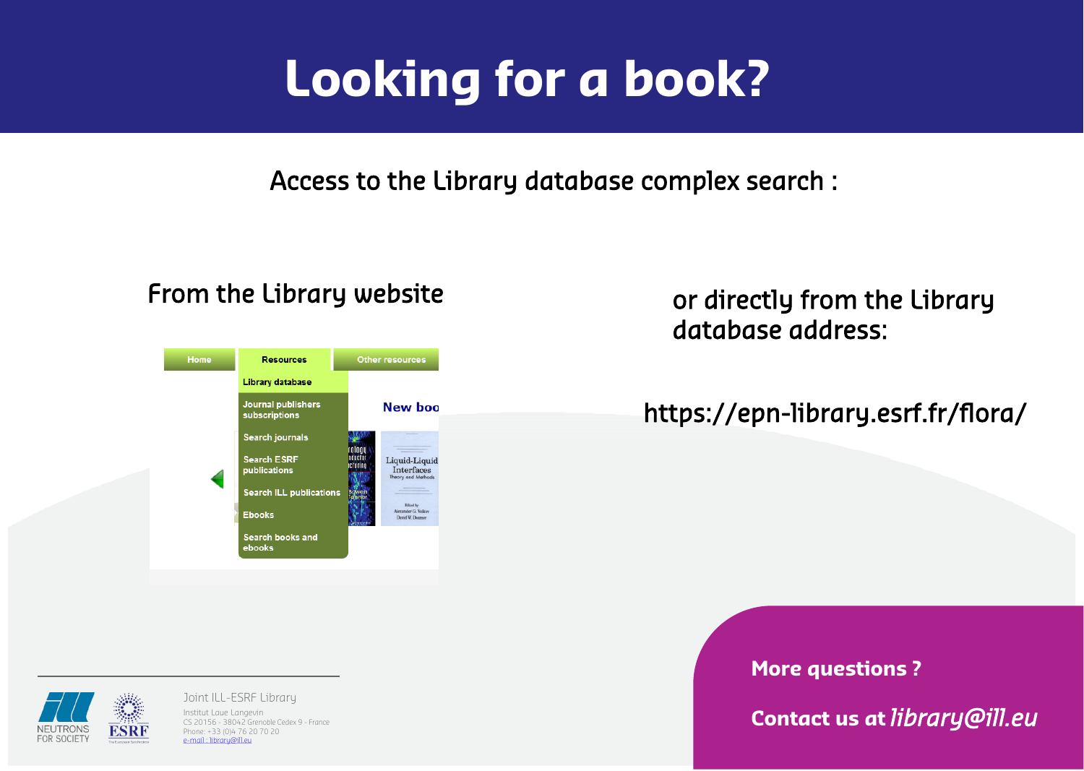Phone: +33 (0)4 76 20 70 20 e-mail : [libr](mailto:library@ill.eu)[ary@ill.eu](mailto:ary@ill.eu)

## **More questions ?**





**Contact us at** *library@ill.eu*

# **Looking for a book?**

Access to the Library database complex search :

# https://epn-library.esrf.fr/flora/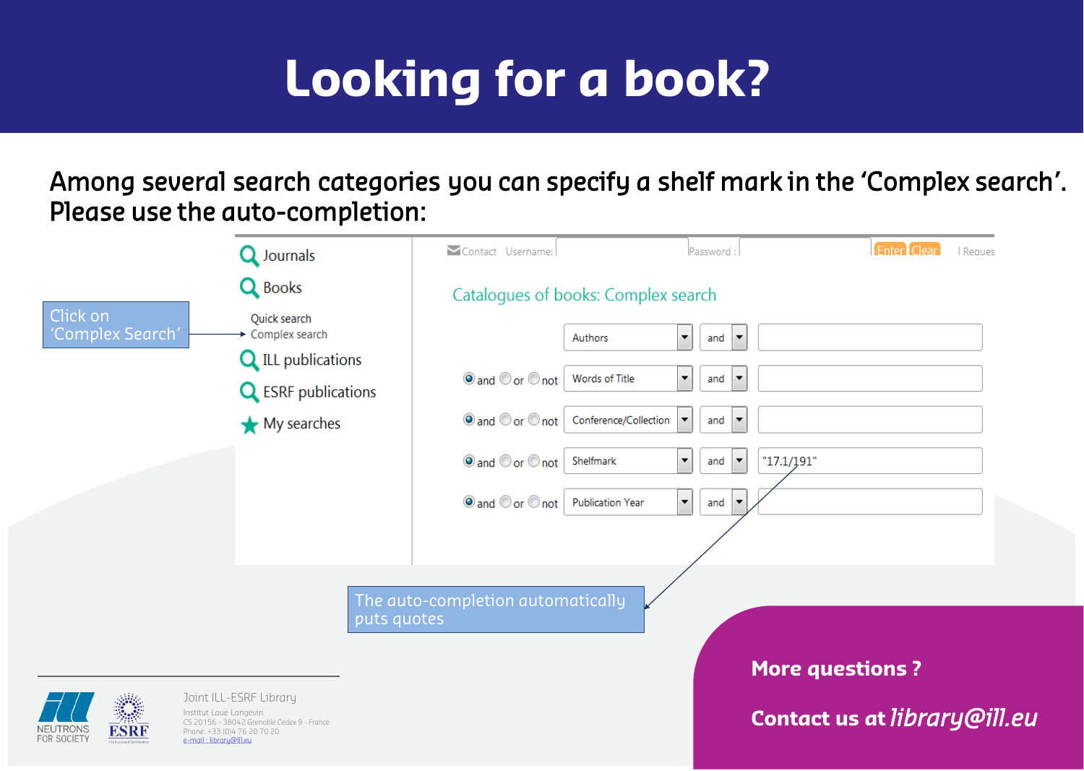## **More questions ?**

## **Contact us at** *library@ill.eu*

# **Looking for a book?**



|    | <b>Enter Clear Reques</b> |  |
|----|---------------------------|--|
|    |                           |  |
|    |                           |  |
|    |                           |  |
|    |                           |  |
|    |                           |  |
|    |                           |  |
| 1" |                           |  |
|    |                           |  |
|    |                           |  |
|    |                           |  |
|    |                           |  |
|    |                           |  |

Among several search categories you can specify a shelf mark in the 'Complex search'. Please use the auto-completion: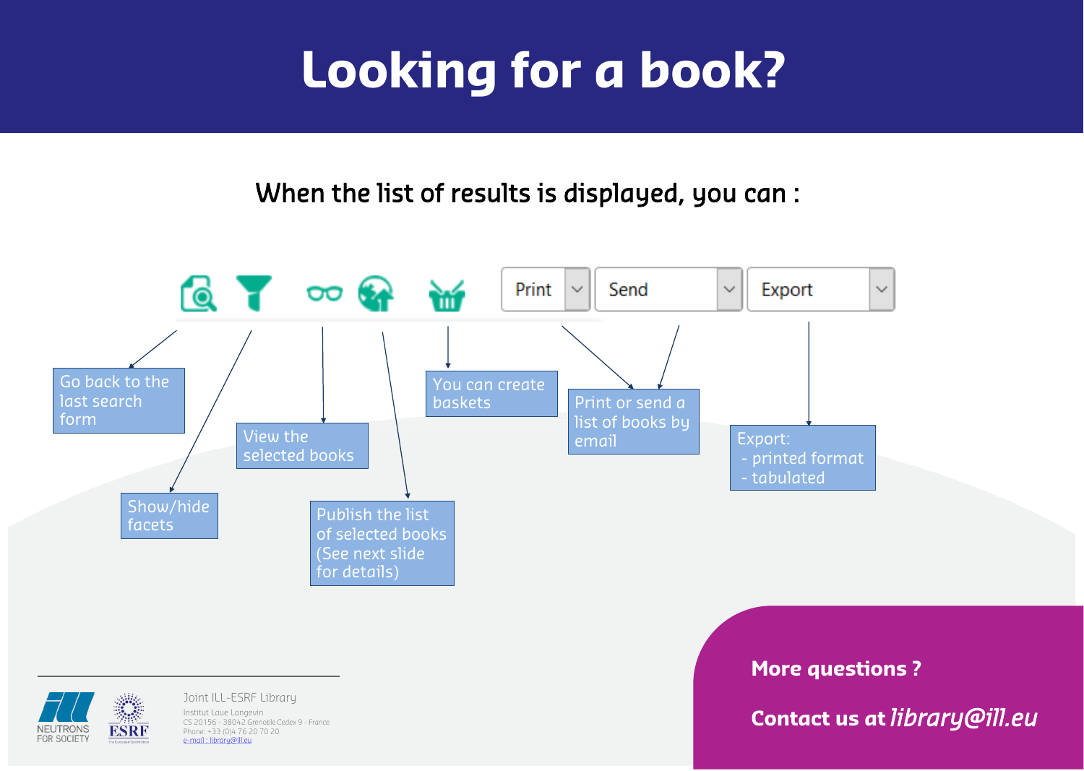e-mail : [libr](mailto:library@ill.eu)[ary@ill.eu](mailto:ary@ill.eu)

**FOR SOCIETY** 

# $\mathcal{N}_{\mathcal{A}}$

## **More questions ?**

## **Contact us at** *library@ill.eu*



# **Looking for a book?**

# When the list of results is displayed, you can :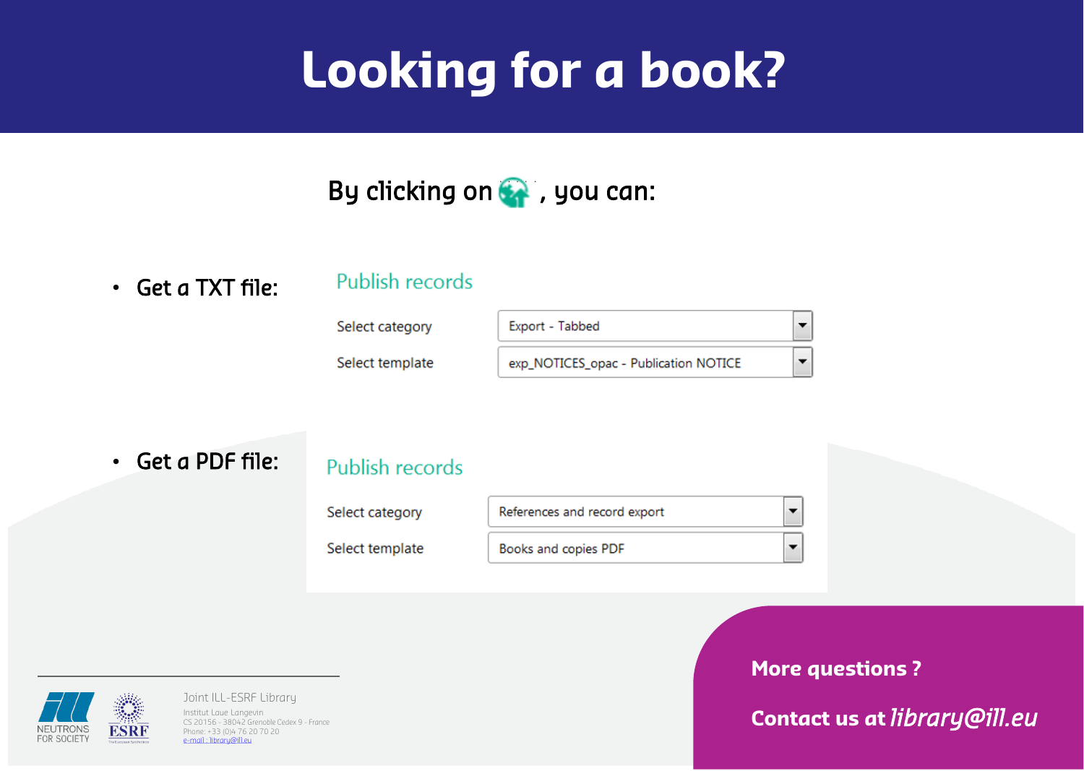Joint ILL-ESRF Library Institut Laue Langevin CS 20156 - 38042 Grenoble Cedex 9 - France Phone: +33 (0)4 76 20 70 20 e-mail : [libr](mailto:library@ill.eu)[ary@ill.eu](mailto:ary@ill.eu)



## **More questions ?**

## **Contact us at** *library@ill.eu*

# **Looking for a book?**



• Get a TXT file:

## Publish records

Select category

Select template

| Export - Tabbed                       |  |
|---------------------------------------|--|
| exp_NOTICES_opac - Publication NOTICE |  |

• Get a PDF file:

## Publish records

Select category

Select template

 $\blacktriangledown$ References and record export  $\ddot{\phantom{1}}$ Books and copies PDF

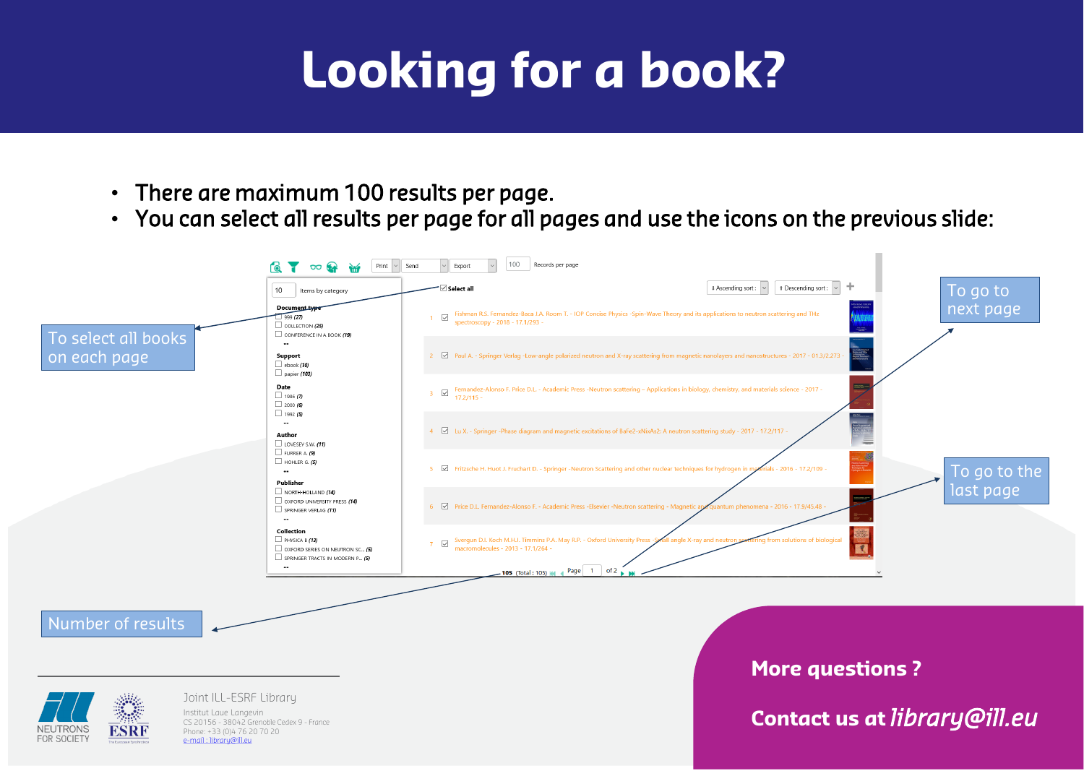Joint ILL-ESRF Library

Institut Laue Langevin CS 20156 - 38042 Grenoble Cedex 9 - France Phone: +33 (0)4 76 20 70 20 e-mail : [libr](mailto:library@ill.eu)[ary@ill.eu](mailto:ary@ill.eu)

# **More questions ?**

**Contact us at** *library@ill.eu*

# **Looking for a book?**

- There are maximum 100 results per page.
- You can select all results per page for all pages and use the icons on the previous slide:

|                                           | Print<br>∞                                                                                                                                                                                                                                                                                                                                                  | 100<br>Records per page<br>Send<br>Export                                                                                                                                                            |
|-------------------------------------------|-------------------------------------------------------------------------------------------------------------------------------------------------------------------------------------------------------------------------------------------------------------------------------------------------------------------------------------------------------------|------------------------------------------------------------------------------------------------------------------------------------------------------------------------------------------------------|
|                                           | 10<br>Items by category                                                                                                                                                                                                                                                                                                                                     | $\overline{\mathord{\hspace{1pt}\text{--}\hspace{1pt}} }$ Select all<br># Ascending sort :<br>ft Descending                                                                                          |
| To select all books                       | Document type<br>1999(27)<br>$\Box$ COLLECTION (25)<br>$\Box$ CONFERENCE IN A BOOK (19)                                                                                                                                                                                                                                                                     | Fishman R.S. Fernandez-Baca J.A. Room T. - IOP Concise Physics -Spin-Wave Theory and its applications to neutron scattering and TH<br>$\checkmark$<br>spectroscopy - 2018 - 17.1/293 -               |
| on each page                              | <br>Support<br>$\Box$ ebook (10)<br>$\Box$ papier (103)<br>Date<br>$\Box$ 1986 (7)<br>$\Box$ 2000 (6)<br>$\Box$ 1992 (5)<br>$\cdots$<br>Author<br>$\Box$ LOVESEY S.W. (11)<br>$\Box$ FURRER A. (9)<br>$\Box$ HOHLER G. (5)<br>$\cdots$<br>Publisher<br>$\Box$ NORTH-HOLLAND (14)<br>$\Box$ OXFORD UNIVERSITY PRESS (14)<br>SPRINGER VERLAG (11)<br>$\cdots$ | 2 M Paul A. - Springer Verlag -Low-angle polarized neutron and X-ray scattering from magnetic nanolayers and nanostructures - 2017 - 0                                                               |
|                                           |                                                                                                                                                                                                                                                                                                                                                             | Fernandez-Alonso F. Price D.L. - Academic Press -Neutron scattering - Applications in biology, chemistry, and materials science - 201<br>$\checkmark$<br>3 <sup>7</sup><br>$17.2/115 -$              |
|                                           |                                                                                                                                                                                                                                                                                                                                                             | 4 Z Lu X. - Springer -Phase diagram and magnetic excitations of BaFe2-xNixAs2: A neutron scattering study - 2017 - 17.2/117 -                                                                        |
|                                           |                                                                                                                                                                                                                                                                                                                                                             | □ Fritzsche H. Huot J. Fruchart D. - Springer -Neutron Scattering and other nuclear techniques for hydrogen in materials - 2016 - 17.2/<br>5 <sub>1</sub>                                            |
|                                           |                                                                                                                                                                                                                                                                                                                                                             | 6 Ø Price D.L. Fernandez-Alonso F. - Academic Press -Elsevier -Neutron scattering - Magnetic and quantum phenomena - 2016 - 17.9/45                                                                  |
|                                           | Collection<br>$\Box$ PHYSICA B (13)<br>$\Box$ OXFORD SERIES ON NEUTRON SC (5)<br>$\Box$ SPRINGER TRACTS IN MODERN P (5)                                                                                                                                                                                                                                     | Svergun D.I. Koch M.H.J. Timmins P.A. May R.P. - Oxford University Press -Sx<br>macromolecules - 2013 - 17.1/264 -<br>all angle X-ray and neutron se<br>ing from solutions of<br>$\overline{\smile}$ |
|                                           | $\ddotsc$                                                                                                                                                                                                                                                                                                                                                   | of $2^{\bullet}$<br>Page $\begin{vmatrix} 1 \end{vmatrix}$<br>105 (Total: 105) 44                                                                                                                    |
|                                           |                                                                                                                                                                                                                                                                                                                                                             |                                                                                                                                                                                                      |
| Number of results                         |                                                                                                                                                                                                                                                                                                                                                             |                                                                                                                                                                                                      |
|                                           |                                                                                                                                                                                                                                                                                                                                                             | More o                                                                                                                                                                                               |
| Joint II I - FSRE Libraru<br><b>Alike</b> |                                                                                                                                                                                                                                                                                                                                                             |                                                                                                                                                                                                      |



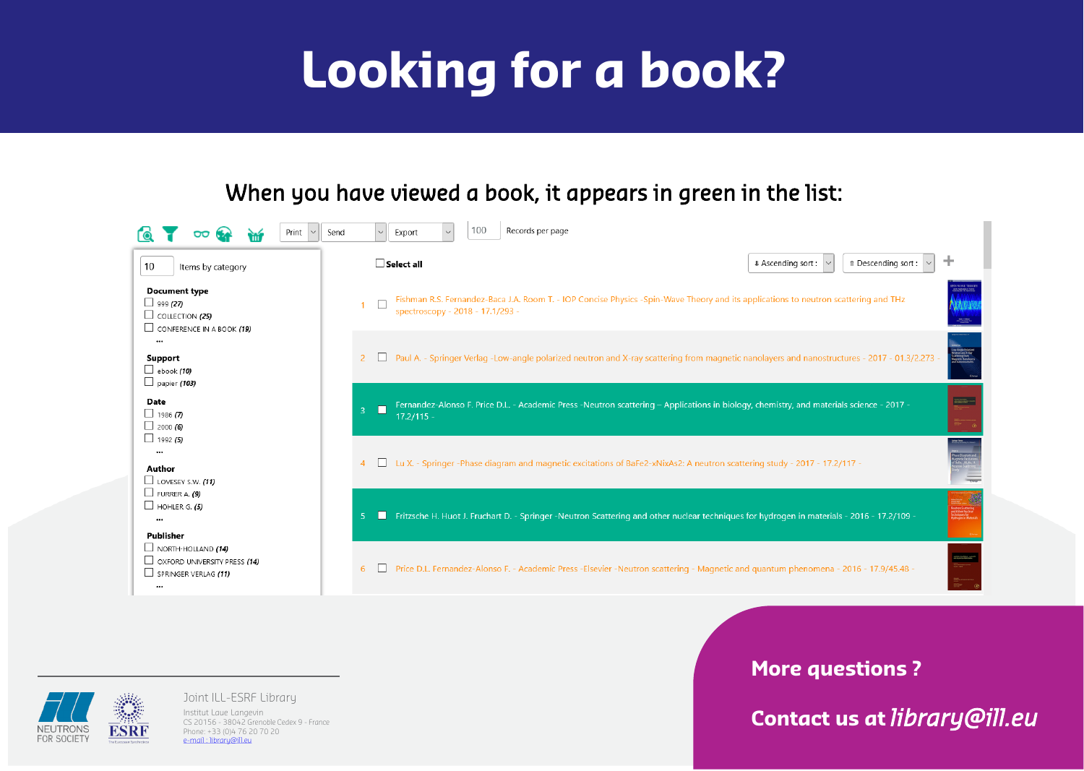Joint ILL-ESRF Library

Institut Laue Langevin CS 20156 - 38042 Grenoble Cedex 9 - France Phone: +33 (0)4 76 20 70 20 e-mail : [libr](mailto:library@ill.eu)[ary@ill.eu](mailto:ary@ill.eu)

## **More questions ?**

**Contact us at** *library@ill.eu*

| ft Descending sort:<br>nt :         |   |  |
|-------------------------------------|---|--|
| eutron scattering and THz           |   |  |
| anostructures - 2017 - 01.3/2.273 - |   |  |
| d materials science - 2017 -        | ® |  |
| $17 - 17.2/117 -$                   |   |  |
| materials - 2016 - 17.2/109 -       |   |  |
| iomena - 2016 - 17.9/45.48 -        | ⊛ |  |

 $\blacksquare$ 

# **Looking for a book?**

# When you have viewed a book, it appears in green in the list:



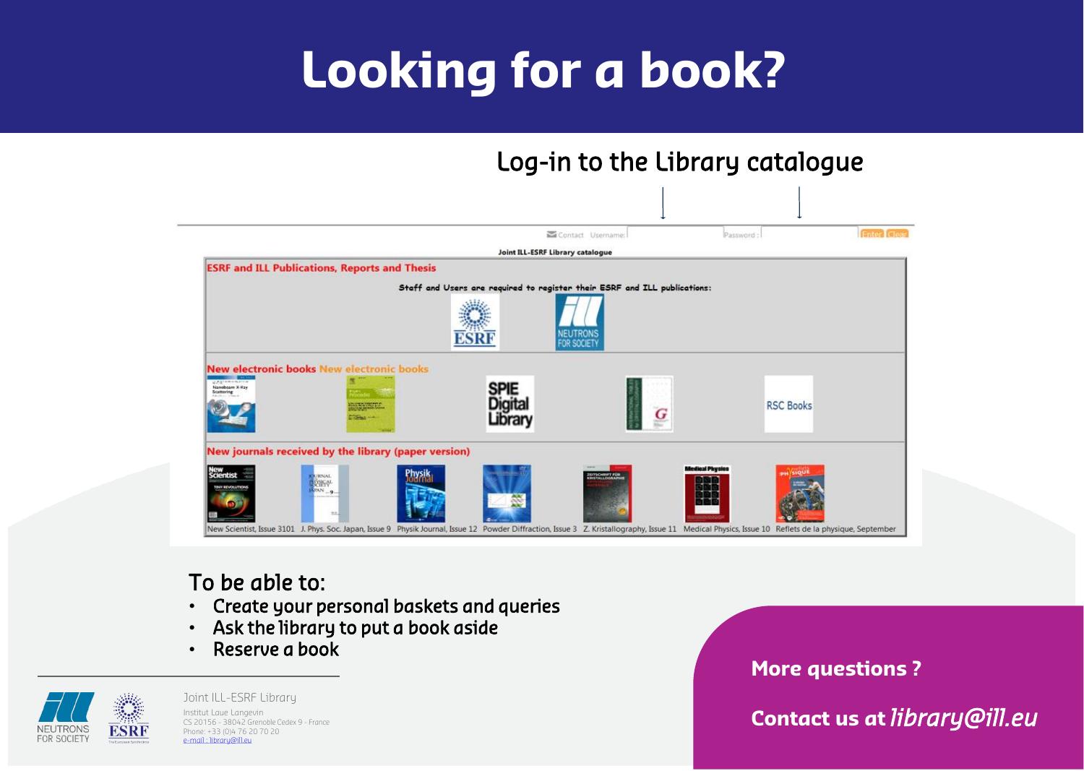Joint ILL-ESRF Library Institut Laue Langevin CS 20156 - 38042 Grenoble Cedex 9 - France Phone: +33 (0)4 76 20 70 20 e-mail : [libr](mailto:library@ill.eu)[ary@ill.eu](mailto:ary@ill.eu)

| Enter Cle                |  |
|--------------------------|--|
|                          |  |
|                          |  |
|                          |  |
|                          |  |
| s                        |  |
|                          |  |
|                          |  |
|                          |  |
| e la physique, September |  |

# **More questions ? Contact us at** *library@ill.eu*

# **Looking for a book?**

# Log-in to the Library catalogue



## To be able to:

- Create your personal baskets and queries
- Ask the library to put a book aside
- Reserve a book

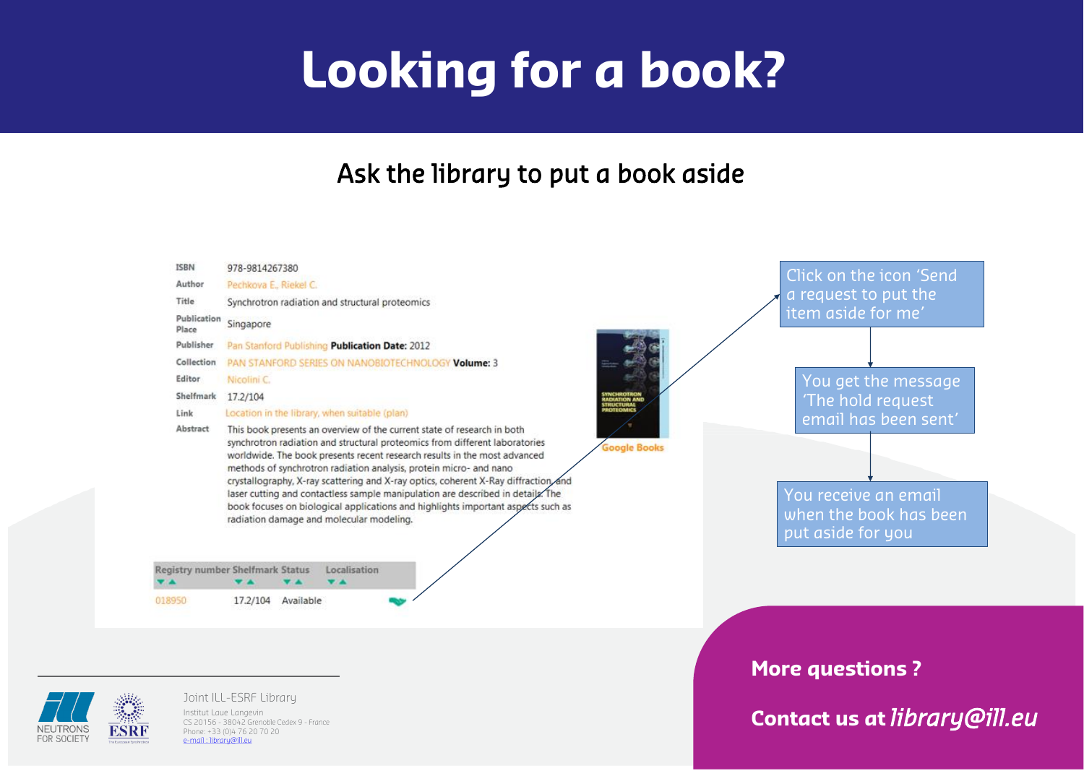Institut Laue Langevin

CS 20156 - 38042 Grenoble Cedex 9 - France Phone: +33 (0)4 76 20 70 20 e-mail : [libr](mailto:library@ill.eu)[ary@ill.eu](mailto:ary@ill.eu)





**Contact us at** *library@ill.eu*

# **Looking for a book?**

# Ask the library to put a book aside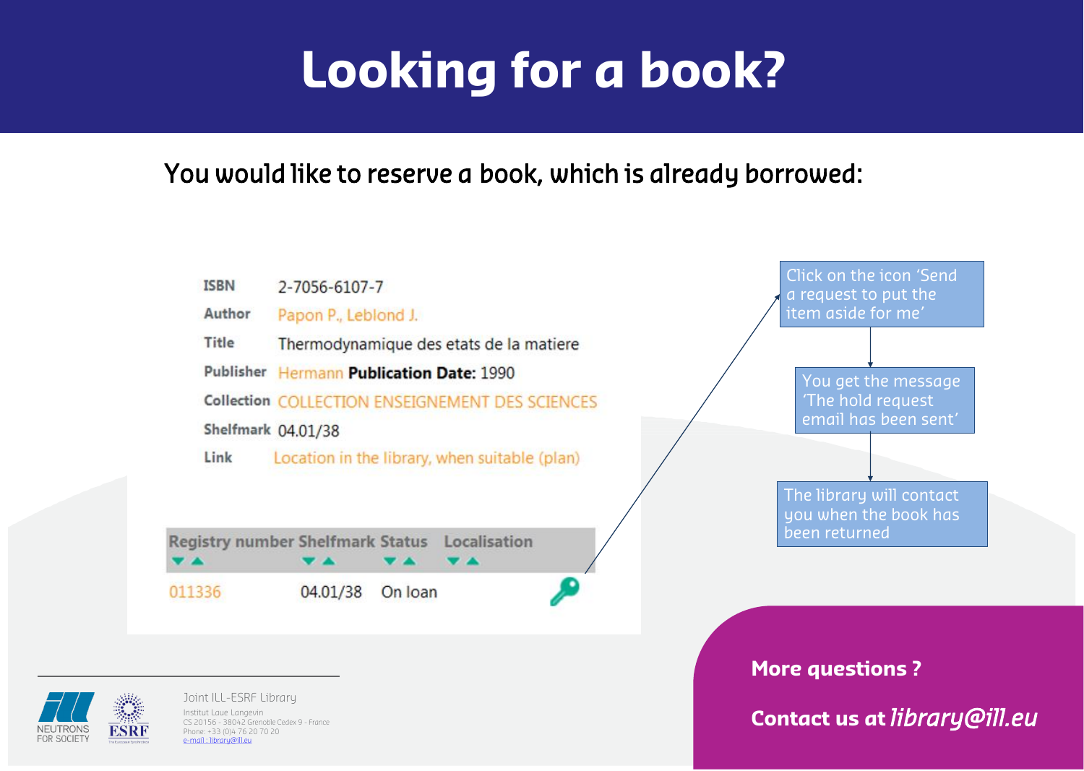# **Looking for a book?**



You would like to reserve a book, which is already borrowed:

FOR SOCIETY